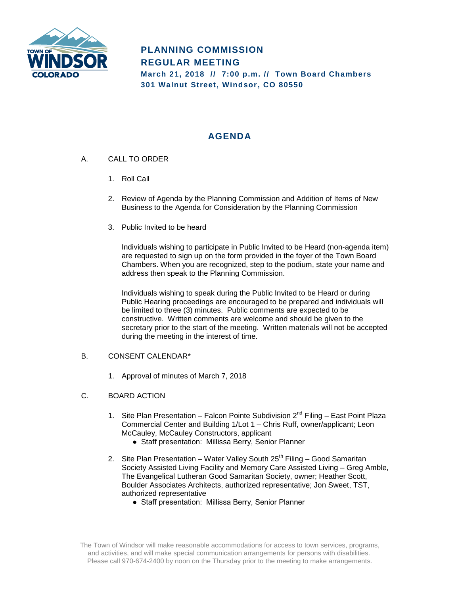

# **PLANNING COMMISSION REGULAR MEETING March 21, 2018 // 7:00 p.m. // Town Board Chambers 301 Walnut Street, Windsor, CO 80550**

# **AGENDA**

- A. CALL TO ORDER
	- 1. Roll Call
	- 2. Review of Agenda by the Planning Commission and Addition of Items of New Business to the Agenda for Consideration by the Planning Commission
	- 3. Public Invited to be heard

Individuals wishing to participate in Public Invited to be Heard (non-agenda item) are requested to sign up on the form provided in the foyer of the Town Board Chambers. When you are recognized, step to the podium, state your name and address then speak to the Planning Commission.

Individuals wishing to speak during the Public Invited to be Heard or during Public Hearing proceedings are encouraged to be prepared and individuals will be limited to three (3) minutes. Public comments are expected to be constructive. Written comments are welcome and should be given to the secretary prior to the start of the meeting. Written materials will not be accepted during the meeting in the interest of time.

## B. CONSENT CALENDAR\*

- 1. Approval of minutes of March 7, 2018
- C. BOARD ACTION
	- 1. Site Plan Presentation Falcon Pointe Subdivision  $2^{nd}$  Filing East Point Plaza Commercial Center and Building 1/Lot 1 – Chris Ruff, owner/applicant; Leon McCauley, McCauley Constructors, applicant
		- Staff presentation: Millissa Berry, Senior Planner
	- 2. Site Plan Presentation Water Valley South  $25<sup>th</sup>$  Filing Good Samaritan Society Assisted Living Facility and Memory Care Assisted Living – Greg Amble, The Evangelical Lutheran Good Samaritan Society, owner; Heather Scott, Boulder Associates Architects, authorized representative; Jon Sweet, TST, authorized representative
		- Staff presentation: Millissa Berry, Senior Planner

The Town of Windsor will make reasonable accommodations for access to town services, programs, and activities, and will make special communication arrangements for persons with disabilities. Please call 970-674-2400 by noon on the Thursday prior to the meeting to make arrangements.